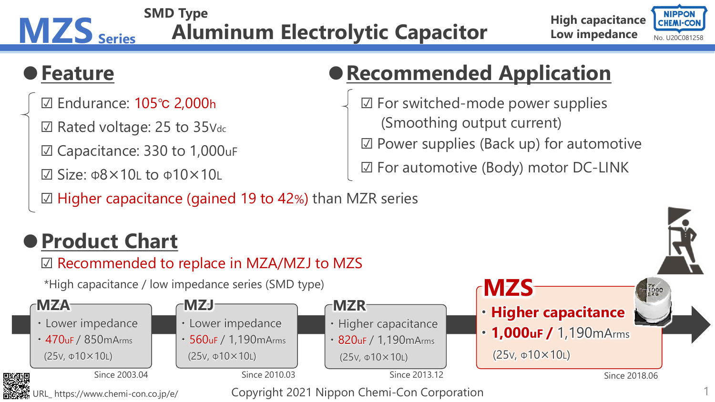#### **MZS** Series Aluminum Electrolytic Capacitor Low impedance CHEMI-CON **SMD Type Aluminum Electrolytic Capacitor**

#### **High capacitance Low impedance**



### **●Feature**

- ☑ Endurance: 105℃ 2,000h
- ☑ Rated voltage: 25 to 35Vdc
- ☑ Capacitance: 330 to 1,000uF
- $\boxtimes$  Size: Φ $8\times10$ L to Φ $10\times10$ L
- ☑ Higher capacitance (gained 19 to 42%) than MZR series

# **●Recommended Application**

☑ For switched-mode power supplies (Smoothing output current) ☑ Power supplies (Back up) for automotive ☑ For automotive (Body) motor DC-LINK

## **●Product Chart**



\*High capacitance / low impedance series (SMD type)

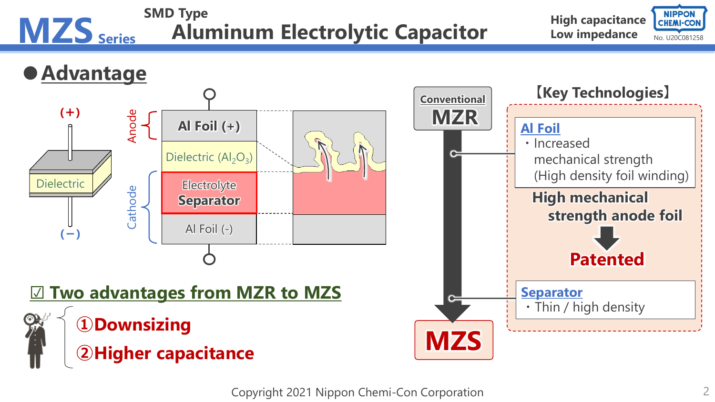

Copyright 2021 Nippon Chemi-Con Corporation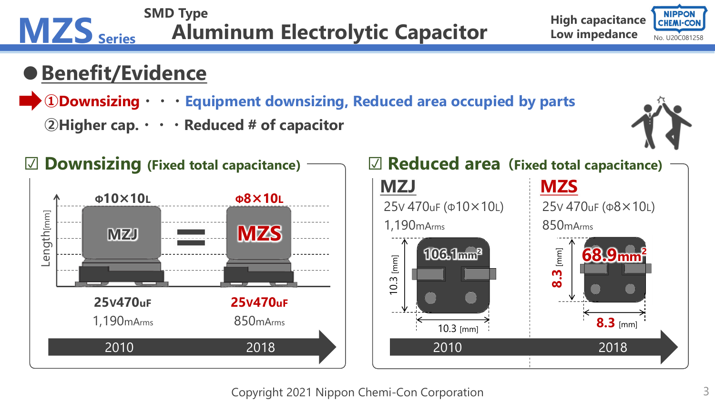

Copyright 2021 Nippon Chemi-Con Corporation 3